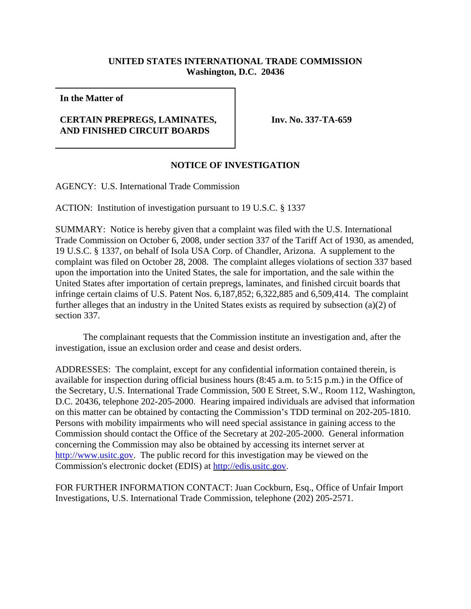## **UNITED STATES INTERNATIONAL TRADE COMMISSION Washington, D.C. 20436**

**In the Matter of**

## **CERTAIN PREPREGS, LAMINATES, AND FINISHED CIRCUIT BOARDS**

**Inv. No. 337-TA-659**

## **NOTICE OF INVESTIGATION**

AGENCY: U.S. International Trade Commission

ACTION: Institution of investigation pursuant to 19 U.S.C. § 1337

SUMMARY: Notice is hereby given that a complaint was filed with the U.S. International Trade Commission on October 6, 2008, under section 337 of the Tariff Act of 1930, as amended, 19 U.S.C. § 1337, on behalf of Isola USA Corp. of Chandler, Arizona. A supplement to the complaint was filed on October 28, 2008. The complaint alleges violations of section 337 based upon the importation into the United States, the sale for importation, and the sale within the United States after importation of certain prepregs, laminates, and finished circuit boards that infringe certain claims of U.S. Patent Nos. 6,187,852; 6,322,885 and 6,509,414. The complaint further alleges that an industry in the United States exists as required by subsection (a)(2) of section 337.

The complainant requests that the Commission institute an investigation and, after the investigation, issue an exclusion order and cease and desist orders.

ADDRESSES: The complaint, except for any confidential information contained therein, is available for inspection during official business hours (8:45 a.m. to 5:15 p.m.) in the Office of the Secretary, U.S. International Trade Commission, 500 E Street, S.W., Room 112, Washington, D.C. 20436, telephone 202-205-2000. Hearing impaired individuals are advised that information on this matter can be obtained by contacting the Commission's TDD terminal on 202-205-1810. Persons with mobility impairments who will need special assistance in gaining access to the Commission should contact the Office of the Secretary at 202-205-2000. General information concerning the Commission may also be obtained by accessing its internet server at http://www.usitc.gov. The public record for this investigation may be viewed on the Commission's electronic docket (EDIS) at http://edis.usitc.gov.

FOR FURTHER INFORMATION CONTACT: Juan Cockburn, Esq., Office of Unfair Import Investigations, U.S. International Trade Commission, telephone (202) 205-2571.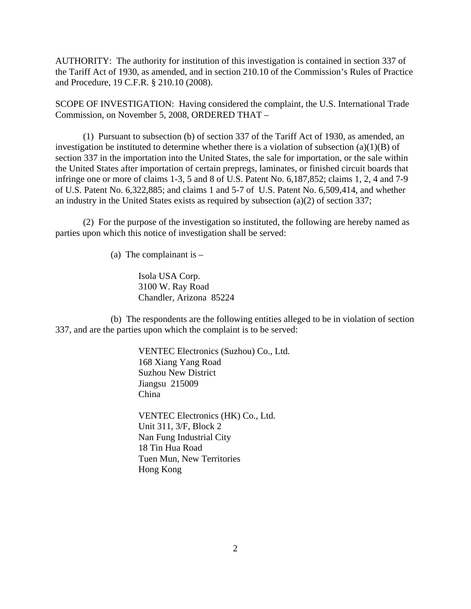AUTHORITY: The authority for institution of this investigation is contained in section 337 of the Tariff Act of 1930, as amended, and in section 210.10 of the Commission's Rules of Practice and Procedure, 19 C.F.R. § 210.10 (2008).

SCOPE OF INVESTIGATION: Having considered the complaint, the U.S. International Trade Commission, on November 5, 2008, ORDERED THAT –

(1) Pursuant to subsection (b) of section 337 of the Tariff Act of 1930, as amended, an investigation be instituted to determine whether there is a violation of subsection  $(a)(1)(B)$  of section 337 in the importation into the United States, the sale for importation, or the sale within the United States after importation of certain prepregs, laminates, or finished circuit boards that infringe one or more of claims 1-3, 5 and 8 of U.S. Patent No. 6,187,852; claims 1, 2, 4 and 7-9 of U.S. Patent No. 6,322,885; and claims 1 and 5-7 of U.S. Patent No. 6,509,414, and whether an industry in the United States exists as required by subsection (a)(2) of section 337;

(2) For the purpose of the investigation so instituted, the following are hereby named as parties upon which this notice of investigation shall be served:

(a) The complainant is  $-$ 

Isola USA Corp. 3100 W. Ray Road Chandler, Arizona 85224

(b) The respondents are the following entities alleged to be in violation of section 337, and are the parties upon which the complaint is to be served:

> VENTEC Electronics (Suzhou) Co., Ltd. 168 Xiang Yang Road Suzhou New District Jiangsu 215009 China

VENTEC Electronics (HK) Co., Ltd. Unit 311, 3/F, Block 2 Nan Fung Industrial City 18 Tin Hua Road Tuen Mun, New Territories Hong Kong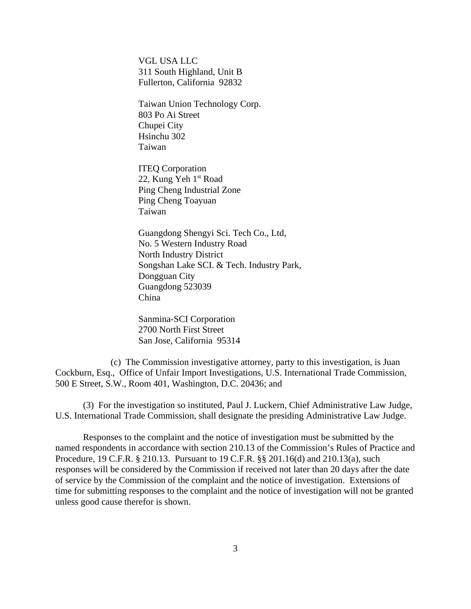VGL USA LLC 311 South Highland, Unit B Fullerton, California 92832

Taiwan Union Technology Corp. 803 Po Ai Street Chupei City Hsinchu 302 Taiwan

ITEQ Corporation 22, Kung Yeh 1<sup>st</sup> Road Ping Cheng Industrial Zone Ping Cheng Toayuan Taiwan

Guangdong Shengyi Sci. Tech Co., Ltd, No. 5 Western Industry Road North Industry District Songshan Lake SCI. & Tech. Industry Park, Dongguan City Guangdong 523039 China

Sanmina-SCI Corporation 2700 North First Street San Jose, California 95314

(c) The Commission investigative attorney, party to this investigation, is Juan Cockburn, Esq., Office of Unfair Import Investigations, U.S. International Trade Commission, 500 E Street, S.W., Room 401, Washington, D.C. 20436; and

(3) For the investigation so instituted, Paul J. Luckern, Chief Administrative Law Judge, U.S. International Trade Commission, shall designate the presiding Administrative Law Judge.

Responses to the complaint and the notice of investigation must be submitted by the named respondents in accordance with section 210.13 of the Commission's Rules of Practice and Procedure, 19 C.F.R. § 210.13. Pursuant to 19 C.F.R. §§ 201.16(d) and 210.13(a), such responses will be considered by the Commission if received not later than 20 days after the date of service by the Commission of the complaint and the notice of investigation. Extensions of time for submitting responses to the complaint and the notice of investigation will not be granted unless good cause therefor is shown.